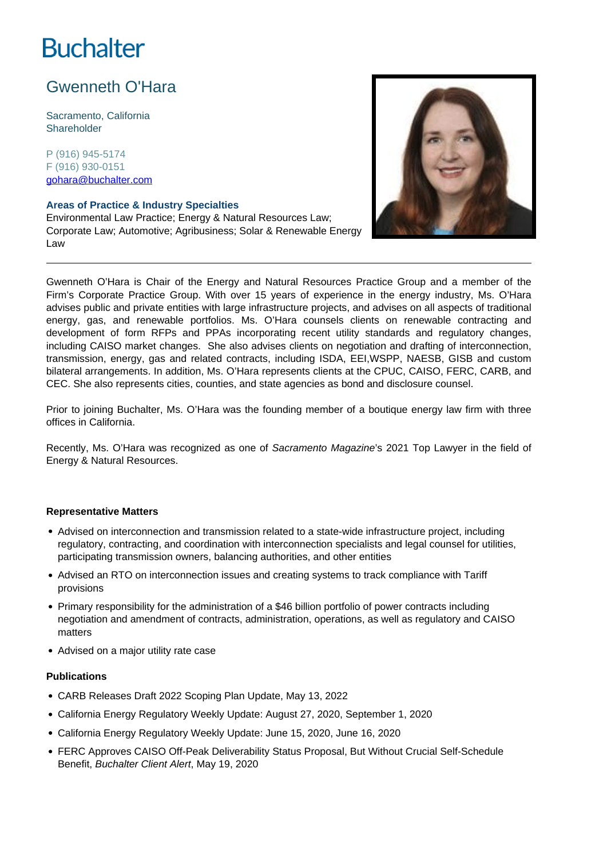# **Buchalter**

# Gwenneth O'Hara

Sacramento, California **Shareholder** 

P (916) 945-5174 F (916) 930-0151 gohara@buchalter.com

#### **Areas of Practice & Industry Specialties**

Environmental Law Practice; Energy & Natural Resources Law; Corporate Law; Automotive; Agribusiness; Solar & Renewable Energy Law



Gwenneth O'Hara is Chair of the Energy and Natural Resources Practice Group and a member of the Firm's Corporate Practice Group. With over 15 years of experience in the energy industry, Ms. O'Hara advises public and private entities with large infrastructure projects, and advises on all aspects of traditional energy, gas, and renewable portfolios. Ms. O'Hara counsels clients on renewable contracting and development of form RFPs and PPAs incorporating recent utility standards and regulatory changes, including CAISO market changes. She also advises clients on negotiation and drafting of interconnection, transmission, energy, gas and related contracts, including ISDA, EEI,WSPP, NAESB, GISB and custom bilateral arrangements. In addition, Ms. O'Hara represents clients at the CPUC, CAISO, FERC, CARB, and CEC. She also represents cities, counties, and state agencies as bond and disclosure counsel.

Prior to joining Buchalter, Ms. O'Hara was the founding member of a boutique energy law firm with three offices in California.

Recently, Ms. O'Hara was recognized as one of Sacramento Magazine's 2021 Top Lawyer in the field of Energy & Natural Resources.

#### **Representative Matters**

- Advised on interconnection and transmission related to a state-wide infrastructure project, including regulatory, contracting, and coordination with interconnection specialists and legal counsel for utilities, participating transmission owners, balancing authorities, and other entities
- Advised an RTO on interconnection issues and creating systems to track compliance with Tariff provisions
- Primary responsibility for the administration of a \$46 billion portfolio of power contracts including negotiation and amendment of contracts, administration, operations, as well as regulatory and CAISO matters
- Advised on a major utility rate case

### **Publications**

- CARB Releases Draft 2022 Scoping Plan Update, May 13, 2022
- California Energy Regulatory Weekly Update: August 27, 2020, September 1, 2020
- California Energy Regulatory Weekly Update: June 15, 2020, June 16, 2020
- FERC Approves CAISO Off-Peak Deliverability Status Proposal, But Without Crucial Self-Schedule Benefit, Buchalter Client Alert, May 19, 2020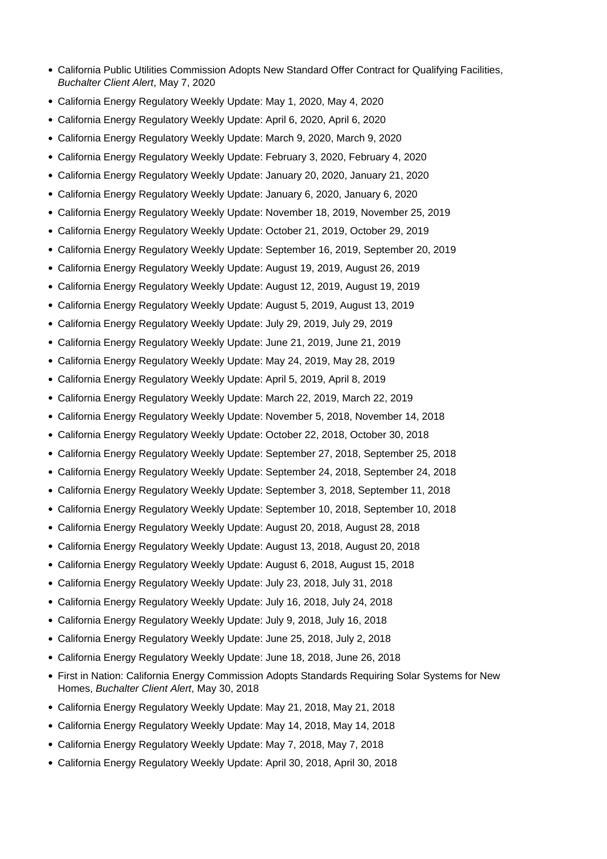- California Public Utilities Commission Adopts New Standard Offer Contract for Qualifying Facilities, Buchalter Client Alert, May 7, 2020
- California Energy Regulatory Weekly Update: May 1, 2020, May 4, 2020
- California Energy Regulatory Weekly Update: April 6, 2020, April 6, 2020
- California Energy Regulatory Weekly Update: March 9, 2020, March 9, 2020
- California Energy Regulatory Weekly Update: February 3, 2020, February 4, 2020
- California Energy Regulatory Weekly Update: January 20, 2020, January 21, 2020
- California Energy Regulatory Weekly Update: January 6, 2020, January 6, 2020
- California Energy Regulatory Weekly Update: November 18, 2019, November 25, 2019
- California Energy Regulatory Weekly Update: October 21, 2019, October 29, 2019
- California Energy Regulatory Weekly Update: September 16, 2019, September 20, 2019
- California Energy Regulatory Weekly Update: August 19, 2019, August 26, 2019
- California Energy Regulatory Weekly Update: August 12, 2019, August 19, 2019
- California Energy Regulatory Weekly Update: August 5, 2019, August 13, 2019
- California Energy Regulatory Weekly Update: July 29, 2019, July 29, 2019
- California Energy Regulatory Weekly Update: June 21, 2019, June 21, 2019
- California Energy Regulatory Weekly Update: May 24, 2019, May 28, 2019
- California Energy Regulatory Weekly Update: April 5, 2019, April 8, 2019
- California Energy Regulatory Weekly Update: March 22, 2019, March 22, 2019
- California Energy Regulatory Weekly Update: November 5, 2018, November 14, 2018
- California Energy Regulatory Weekly Update: October 22, 2018, October 30, 2018
- California Energy Regulatory Weekly Update: September 27, 2018, September 25, 2018
- California Energy Regulatory Weekly Update: September 24, 2018, September 24, 2018
- California Energy Regulatory Weekly Update: September 3, 2018, September 11, 2018
- California Energy Regulatory Weekly Update: September 10, 2018, September 10, 2018
- California Energy Regulatory Weekly Update: August 20, 2018, August 28, 2018
- California Energy Regulatory Weekly Update: August 13, 2018, August 20, 2018
- California Energy Regulatory Weekly Update: August 6, 2018, August 15, 2018
- California Energy Regulatory Weekly Update: July 23, 2018, July 31, 2018
- California Energy Regulatory Weekly Update: July 16, 2018, July 24, 2018
- California Energy Regulatory Weekly Update: July 9, 2018, July 16, 2018
- California Energy Regulatory Weekly Update: June 25, 2018, July 2, 2018
- California Energy Regulatory Weekly Update: June 18, 2018, June 26, 2018
- First in Nation: California Energy Commission Adopts Standards Requiring Solar Systems for New Homes, Buchalter Client Alert, May 30, 2018
- California Energy Regulatory Weekly Update: May 21, 2018, May 21, 2018
- California Energy Regulatory Weekly Update: May 14, 2018, May 14, 2018
- California Energy Regulatory Weekly Update: May 7, 2018, May 7, 2018
- California Energy Regulatory Weekly Update: April 30, 2018, April 30, 2018